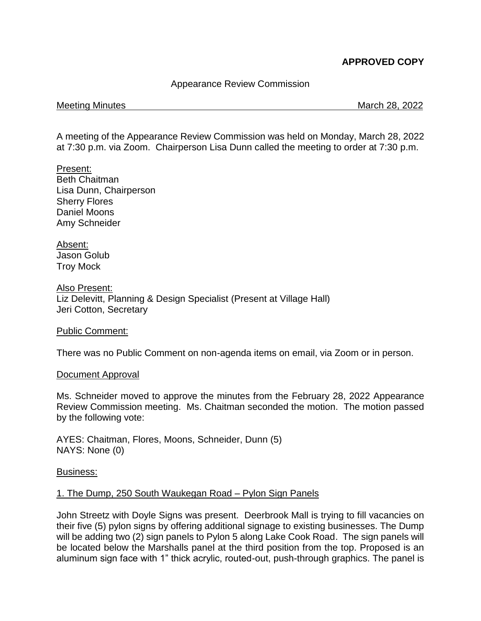# **APPROVED COPY**

# Appearance Review Commission

### Meeting Minutes **March 28, 2022**

A meeting of the Appearance Review Commission was held on Monday, March 28, 2022 at 7:30 p.m. via Zoom. Chairperson Lisa Dunn called the meeting to order at 7:30 p.m.

Present: Beth Chaitman Lisa Dunn, Chairperson Sherry Flores Daniel Moons Amy Schneider

Absent: Jason Golub Troy Mock

Also Present: Liz Delevitt, Planning & Design Specialist (Present at Village Hall) Jeri Cotton, Secretary

### Public Comment:

There was no Public Comment on non-agenda items on email, via Zoom or in person.

### Document Approval

Ms. Schneider moved to approve the minutes from the February 28, 2022 Appearance Review Commission meeting. Ms. Chaitman seconded the motion. The motion passed by the following vote:

AYES: Chaitman, Flores, Moons, Schneider, Dunn (5) NAYS: None (0)

Business:

# 1. The Dump, 250 South Waukegan Road – Pylon Sign Panels

John Streetz with Doyle Signs was present. Deerbrook Mall is trying to fill vacancies on their five (5) pylon signs by offering additional signage to existing businesses. The Dump will be adding two (2) sign panels to Pylon 5 along Lake Cook Road. The sign panels will be located below the Marshalls panel at the third position from the top. Proposed is an aluminum sign face with 1" thick acrylic, routed-out, push-through graphics. The panel is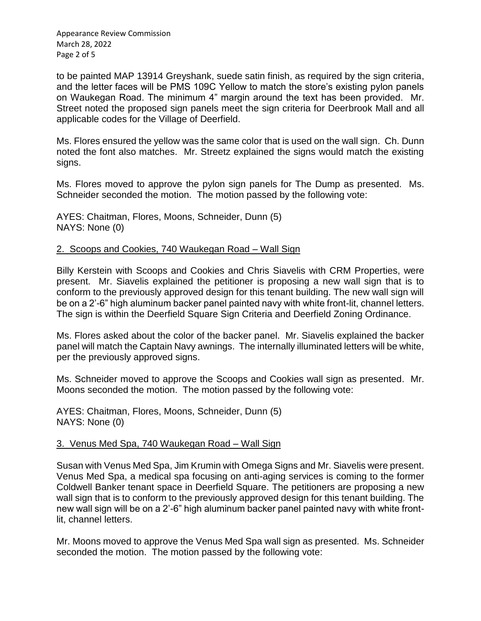Appearance Review Commission March 28, 2022 Page 2 of 5

to be painted MAP 13914 Greyshank, suede satin finish, as required by the sign criteria, and the letter faces will be PMS 109C Yellow to match the store's existing pylon panels on Waukegan Road. The minimum 4" margin around the text has been provided. Mr. Street noted the proposed sign panels meet the sign criteria for Deerbrook Mall and all applicable codes for the Village of Deerfield.

Ms. Flores ensured the yellow was the same color that is used on the wall sign. Ch. Dunn noted the font also matches. Mr. Streetz explained the signs would match the existing signs.

Ms. Flores moved to approve the pylon sign panels for The Dump as presented. Ms. Schneider seconded the motion. The motion passed by the following vote:

AYES: Chaitman, Flores, Moons, Schneider, Dunn (5) NAYS: None (0)

# 2. Scoops and Cookies, 740 Waukegan Road – Wall Sign

Billy Kerstein with Scoops and Cookies and Chris Siavelis with CRM Properties, were present. Mr. Siavelis explained the petitioner is proposing a new wall sign that is to conform to the previously approved design for this tenant building. The new wall sign will be on a 2'-6" high aluminum backer panel painted navy with white front-lit, channel letters. The sign is within the Deerfield Square Sign Criteria and Deerfield Zoning Ordinance.

Ms. Flores asked about the color of the backer panel. Mr. Siavelis explained the backer panel will match the Captain Navy awnings. The internally illuminated letters will be white, per the previously approved signs.

Ms. Schneider moved to approve the Scoops and Cookies wall sign as presented. Mr. Moons seconded the motion. The motion passed by the following vote:

AYES: Chaitman, Flores, Moons, Schneider, Dunn (5) NAYS: None (0)

# 3. Venus Med Spa, 740 Waukegan Road – Wall Sign

Susan with Venus Med Spa, Jim Krumin with Omega Signs and Mr. Siavelis were present. Venus Med Spa, a medical spa focusing on anti-aging services is coming to the former Coldwell Banker tenant space in Deerfield Square. The petitioners are proposing a new wall sign that is to conform to the previously approved design for this tenant building. The new wall sign will be on a 2'-6" high aluminum backer panel painted navy with white frontlit, channel letters.

Mr. Moons moved to approve the Venus Med Spa wall sign as presented. Ms. Schneider seconded the motion. The motion passed by the following vote: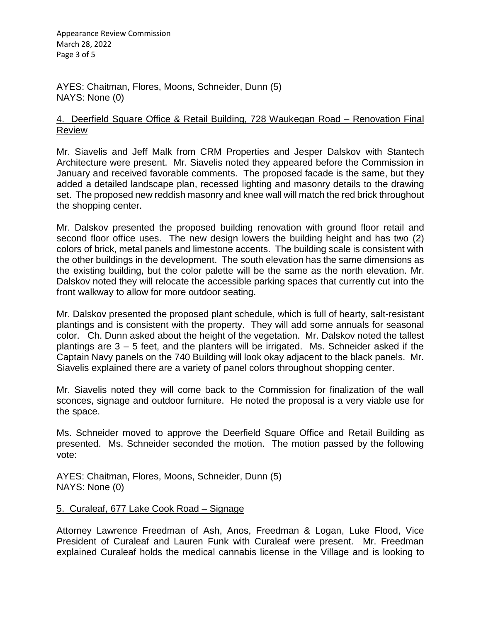Appearance Review Commission March 28, 2022 Page 3 of 5

AYES: Chaitman, Flores, Moons, Schneider, Dunn (5) NAYS: None (0)

# 4. Deerfield Square Office & Retail Building, 728 Waukegan Road – Renovation Final Review

Mr. Siavelis and Jeff Malk from CRM Properties and Jesper Dalskov with Stantech Architecture were present. Mr. Siavelis noted they appeared before the Commission in January and received favorable comments. The proposed facade is the same, but they added a detailed landscape plan, recessed lighting and masonry details to the drawing set. The proposed new reddish masonry and knee wall will match the red brick throughout the shopping center.

Mr. Dalskov presented the proposed building renovation with ground floor retail and second floor office uses. The new design lowers the building height and has two (2) colors of brick, metal panels and limestone accents. The building scale is consistent with the other buildings in the development. The south elevation has the same dimensions as the existing building, but the color palette will be the same as the north elevation. Mr. Dalskov noted they will relocate the accessible parking spaces that currently cut into the front walkway to allow for more outdoor seating.

Mr. Dalskov presented the proposed plant schedule, which is full of hearty, salt-resistant plantings and is consistent with the property. They will add some annuals for seasonal color. Ch. Dunn asked about the height of the vegetation. Mr. Dalskov noted the tallest plantings are 3 – 5 feet, and the planters will be irrigated. Ms. Schneider asked if the Captain Navy panels on the 740 Building will look okay adjacent to the black panels. Mr. Siavelis explained there are a variety of panel colors throughout shopping center.

Mr. Siavelis noted they will come back to the Commission for finalization of the wall sconces, signage and outdoor furniture. He noted the proposal is a very viable use for the space.

Ms. Schneider moved to approve the Deerfield Square Office and Retail Building as presented. Ms. Schneider seconded the motion. The motion passed by the following vote:

AYES: Chaitman, Flores, Moons, Schneider, Dunn (5) NAYS: None (0)

# 5. Curaleaf, 677 Lake Cook Road – Signage

Attorney Lawrence Freedman of Ash, Anos, Freedman & Logan, Luke Flood, Vice President of Curaleaf and Lauren Funk with Curaleaf were present. Mr. Freedman explained Curaleaf holds the medical cannabis license in the Village and is looking to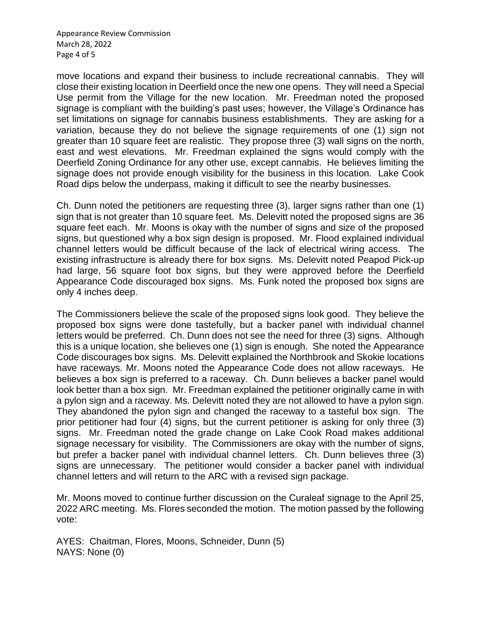Appearance Review Commission March 28, 2022 Page 4 of 5

move locations and expand their business to include recreational cannabis. They will close their existing location in Deerfield once the new one opens. They will need a Special Use permit from the Village for the new location. Mr. Freedman noted the proposed signage is compliant with the building's past uses; however, the Village's Ordinance has set limitations on signage for cannabis business establishments. They are asking for a variation, because they do not believe the signage requirements of one (1) sign not greater than 10 square feet are realistic. They propose three (3) wall signs on the north, east and west elevations. Mr. Freedman explained the signs would comply with the Deerfield Zoning Ordinance for any other use, except cannabis. He believes limiting the signage does not provide enough visibility for the business in this location. Lake Cook Road dips below the underpass, making it difficult to see the nearby businesses.

Ch. Dunn noted the petitioners are requesting three (3), larger signs rather than one (1) sign that is not greater than 10 square feet. Ms. Delevitt noted the proposed signs are 36 square feet each. Mr. Moons is okay with the number of signs and size of the proposed signs, but questioned why a box sign design is proposed. Mr. Flood explained individual channel letters would be difficult because of the lack of electrical wiring access. The existing infrastructure is already there for box signs. Ms. Delevitt noted Peapod Pick-up had large, 56 square foot box signs, but they were approved before the Deerfield Appearance Code discouraged box signs. Ms. Funk noted the proposed box signs are only 4 inches deep.

The Commissioners believe the scale of the proposed signs look good. They believe the proposed box signs were done tastefully, but a backer panel with individual channel letters would be preferred. Ch. Dunn does not see the need for three (3) signs. Although this is a unique location, she believes one (1) sign is enough. She noted the Appearance Code discourages box signs. Ms. Delevitt explained the Northbrook and Skokie locations have raceways. Mr. Moons noted the Appearance Code does not allow raceways. He believes a box sign is preferred to a raceway. Ch. Dunn believes a backer panel would look better than a box sign. Mr. Freedman explained the petitioner originally came in with a pylon sign and a raceway. Ms. Delevitt noted they are not allowed to have a pylon sign. They abandoned the pylon sign and changed the raceway to a tasteful box sign. The prior petitioner had four (4) signs, but the current petitioner is asking for only three (3) signs. Mr. Freedman noted the grade change on Lake Cook Road makes additional signage necessary for visibility. The Commissioners are okay with the number of signs, but prefer a backer panel with individual channel letters. Ch. Dunn believes three (3) signs are unnecessary. The petitioner would consider a backer panel with individual channel letters and will return to the ARC with a revised sign package.

Mr. Moons moved to continue further discussion on the Curaleaf signage to the April 25, 2022 ARC meeting. Ms. Flores seconded the motion. The motion passed by the following vote:

AYES: Chaitman, Flores, Moons, Schneider, Dunn (5) NAYS: None (0)